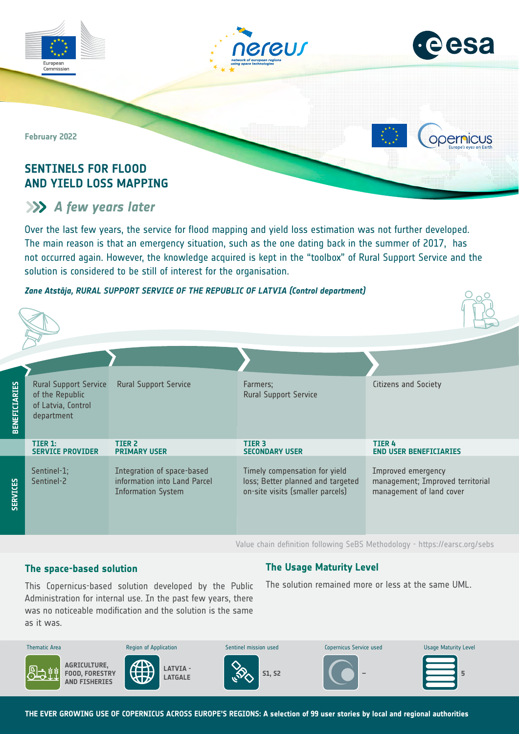



**Opernicus** 

 $O_{\Omega}$ 

**February 2022**

Commission

# **SENTINELS FOR FLOOD AND YIELD LOSS MAPPING**

# **A** few years later

Over the last few years, the service for flood mapping and yield loss estimation was not further developed. The main reason is that an emergency situation, such as the one dating back in the summer of 2017, has not occurred again. However, the knowledge acquired is kept in the "toolbox" of Rural Support Service and the solution is considered to be still of interest for the organisation.

## *Zane Atstāja, RURAL SUPPORT SERVICE OF THE REPUBLIC OF LATVIA (Control department)*

| <b>BENEFICIARIES</b> | <b>Rural Support Service</b><br>of the Republic<br>of Latvia, Control<br>department | <b>Rural Support Service</b>                                                            | Farmers;<br><b>Rural Support Service</b>                                                               | Citizens and Society                                                               |
|----------------------|-------------------------------------------------------------------------------------|-----------------------------------------------------------------------------------------|--------------------------------------------------------------------------------------------------------|------------------------------------------------------------------------------------|
|                      | TIER 1:<br><b>SERVICE PROVIDER</b>                                                  | <b>TIER 2</b><br><b>PRIMARY USER</b>                                                    | TIER <sub>3</sub><br><b>SECONDARY USER</b>                                                             | <b>TIER4</b><br><b>END USER BENEFICIARIES</b>                                      |
| <b>SERVICES</b>      | Sentinel-1;<br>Sentinel-2                                                           | Integration of space-based<br>information into Land Parcel<br><b>Information System</b> | Timely compensation for yield<br>loss; Better planned and targeted<br>on-site visits (smaller parcels) | Improved emergency<br>management; Improved territorial<br>management of land cover |

Value chain definition following SeBS Methodology -<https://earsc.org/sebs>

# **The space-based solution**

# **The Usage Maturity Level**

The solution remained more or less at the same UML.

was no noticeable modification and the solution is the same as it was. Administration for internal use. In the past few years, there

This Copernicus-based solution developed by the Public



**THE EVER GROWING USE OF COPERNICUS ACROSS EUROPE'S REGIONS: A selection of 99 user stories by local and regional authorities**